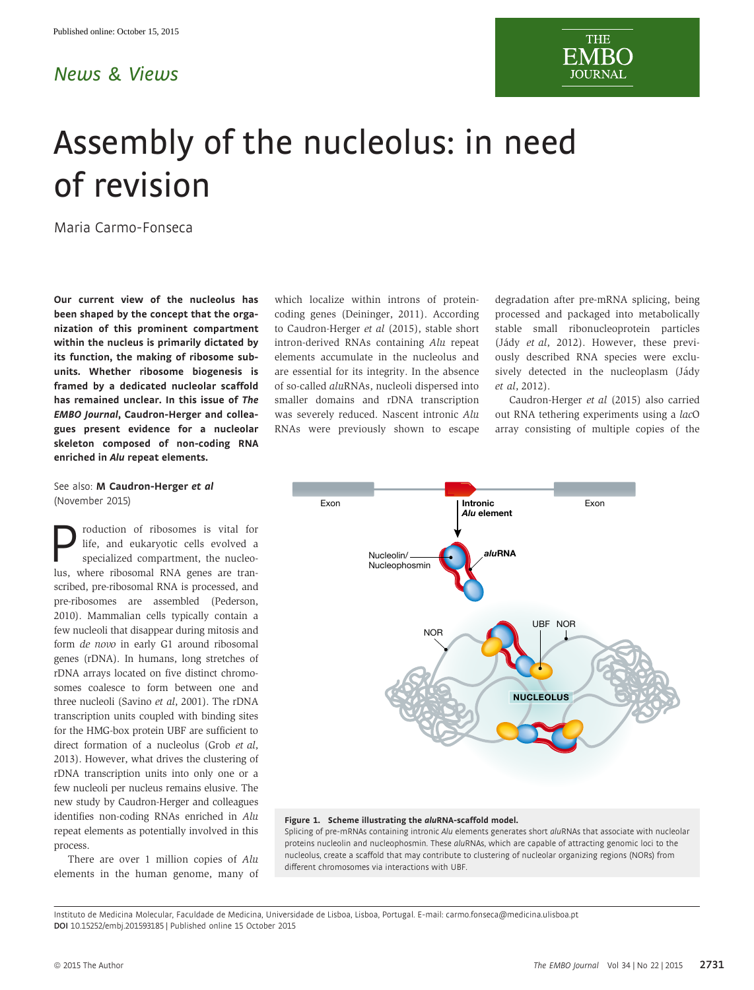## News & Views

# Assembly of the nucleolus: in need of revision

Maria Carmo-Fonseca

Our current view of the nucleolus has been shaped by the concept that the organization of this prominent compartment within the nucleus is primarily dictated by its function, the making of ribosome subunits. Whether ribosome biogenesis is framed by a dedicated nucleolar scaffold has remained unclear. In this issue of The EMBO Journal, Caudron-Herger and colleagues present evidence for a nucleolar skeleton composed of non-coding RNA enriched in Alu repeat elements.

### See also: [M Caudron-Herger](http://dx.doi.org/10.15252/embj.201591458) et al (November 2015)

**Production of ribosomes is vital for**<br>life, and eukaryotic cells evolved a<br>specialized compartment, the nucleo-<br>lus where ribosomal RNA genes are tranlife, and eukaryotic cells evolved a lus, where ribosomal RNA genes are transcribed, pre-ribosomal RNA is processed, and pre-ribosomes are assembled (Pederson, 2010). Mammalian cells typically contain a few nucleoli that disappear during mitosis and form de novo in early G1 around ribosomal genes (rDNA). In humans, long stretches of rDNA arrays located on five distinct chromosomes coalesce to form between one and three nucleoli (Savino et al, 2001). The rDNA transcription units coupled with binding sites for the HMG-box protein UBF are sufficient to direct formation of a nucleolus (Grob et al, 2013). However, what drives the clustering of rDNA transcription units into only one or a few nucleoli per nucleus remains elusive. The new study by Caudron-Herger and colleagues identifies non-coding RNAs enriched in Alu repeat elements as potentially involved in this process.

There are over 1 million copies of Alu elements in the human genome, many of which localize within introns of proteincoding genes (Deininger, 2011). According to Caudron-Herger et al (2015), stable short intron-derived RNAs containing Alu repeat elements accumulate in the nucleolus and are essential for its integrity. In the absence of so-called aluRNAs, nucleoli dispersed into smaller domains and rDNA transcription was severely reduced. Nascent intronic Alu RNAs were previously shown to escape degradation after pre-mRNA splicing, being processed and packaged into metabolically stable small ribonucleoprotein particles (Jády et al, 2012). However, these previously described RNA species were exclusively detected in the nucleoplasm (Jády et al, 2012).

Caudron-Herger et al (2015) also carried out RNA tethering experiments using a lacO array consisting of multiple copies of the



#### Figure 1. Scheme illustrating the aluRNA-scaffold model.

Splicing of pre-mRNAs containing intronic Alu elements generates short aluRNAs that associate with nucleolar proteins nucleolin and nucleophosmin. These aluRNAs, which are capable of attracting genomic loci to the nucleolus, create a scaffold that may contribute to clustering of nucleolar organizing regions (NORs) from different chromosomes via interactions with UBF.

Instituto de Medicina Molecular, Faculdade de Medicina, Universidade de Lisboa, Lisboa, Portugal. E-mail: carmo.fonseca@medicina.ulisboa.pt DOI 10.15252/embj.201593185 | Published online 15 October 2015